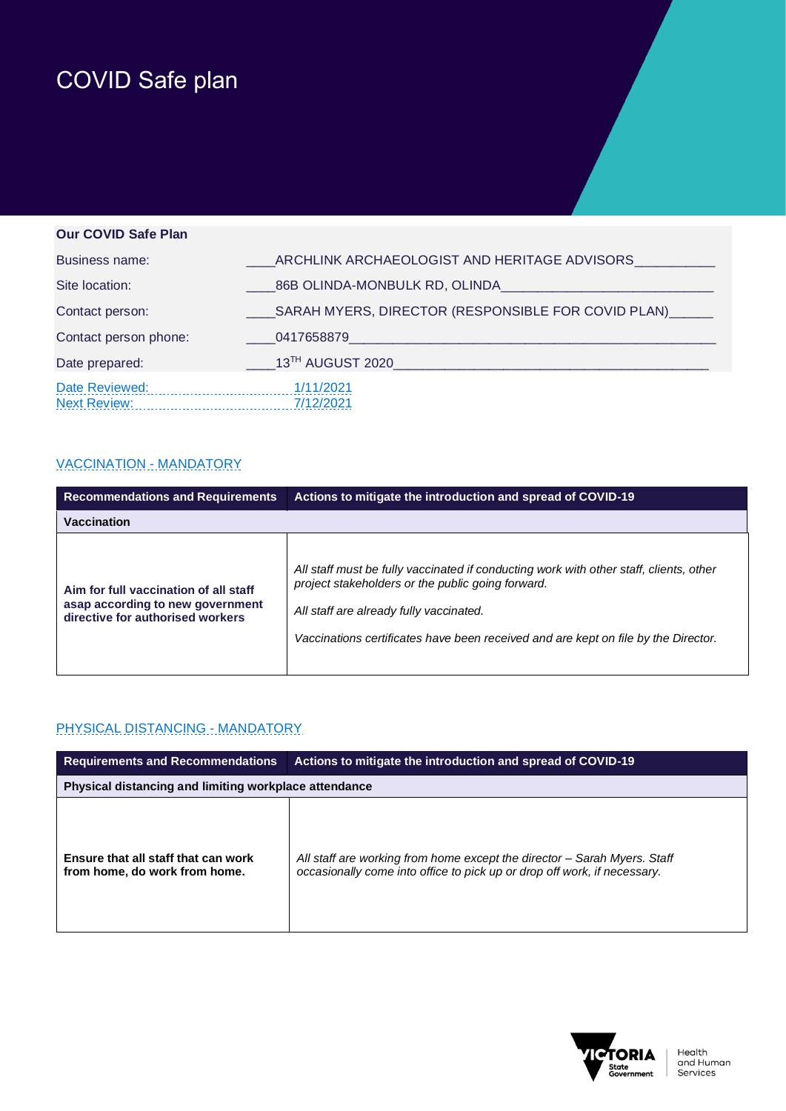# COVID Safe plan

## **Our COVID Safe Plan** Business name: \_\_\_\_ARCHLINK ARCHAEOLOGIST AND HERITAGE ADVISORS\_\_\_\_\_\_\_\_\_\_\_ Site location: <br>
26B OLINDA-MONBULK RD, OLINDA Contact person: \_\_\_\_SARAH MYERS, DIRECTOR (RESPONSIBLE FOR COVID PLAN)\_\_\_\_\_\_ Contact person phone: \_\_\_\_\_\_\_\_\_\_\_\_\_\_\_0417658879\_\_\_ Date prepared: \_\_\_\_13TH AUGUST 2020\_\_\_\_\_\_\_\_\_\_\_\_\_\_\_\_\_\_\_\_\_\_\_\_\_\_\_\_\_\_\_\_\_\_\_\_\_\_\_\_\_\_\_ Date Reviewed: 1/11/2021 Next Review: 7/12/2021

#### VACCINATION - MANDATORY

| <b>Recommendations and Requirements</b>                                                                       | Actions to mitigate the introduction and spread of COVID-19                                                                                                                                                                                                                  |
|---------------------------------------------------------------------------------------------------------------|------------------------------------------------------------------------------------------------------------------------------------------------------------------------------------------------------------------------------------------------------------------------------|
| Vaccination                                                                                                   |                                                                                                                                                                                                                                                                              |
| Aim for full vaccination of all staff<br>asap according to new government<br>directive for authorised workers | All staff must be fully vaccinated if conducting work with other staff, clients, other<br>project stakeholders or the public going forward.<br>All staff are already fully vaccinated.<br>Vaccinations certificates have been received and are kept on file by the Director. |

#### PHYSICAL DISTANCING - MANDATORY

| <b>Requirements and Recommendations</b>                              | Actions to mitigate the introduction and spread of COVID-19                                                                                          |
|----------------------------------------------------------------------|------------------------------------------------------------------------------------------------------------------------------------------------------|
| Physical distancing and limiting workplace attendance                |                                                                                                                                                      |
| Ensure that all staff that can work<br>from home, do work from home. | All staff are working from home except the director – Sarah Myers. Staff<br>occasionally come into office to pick up or drop off work, if necessary. |

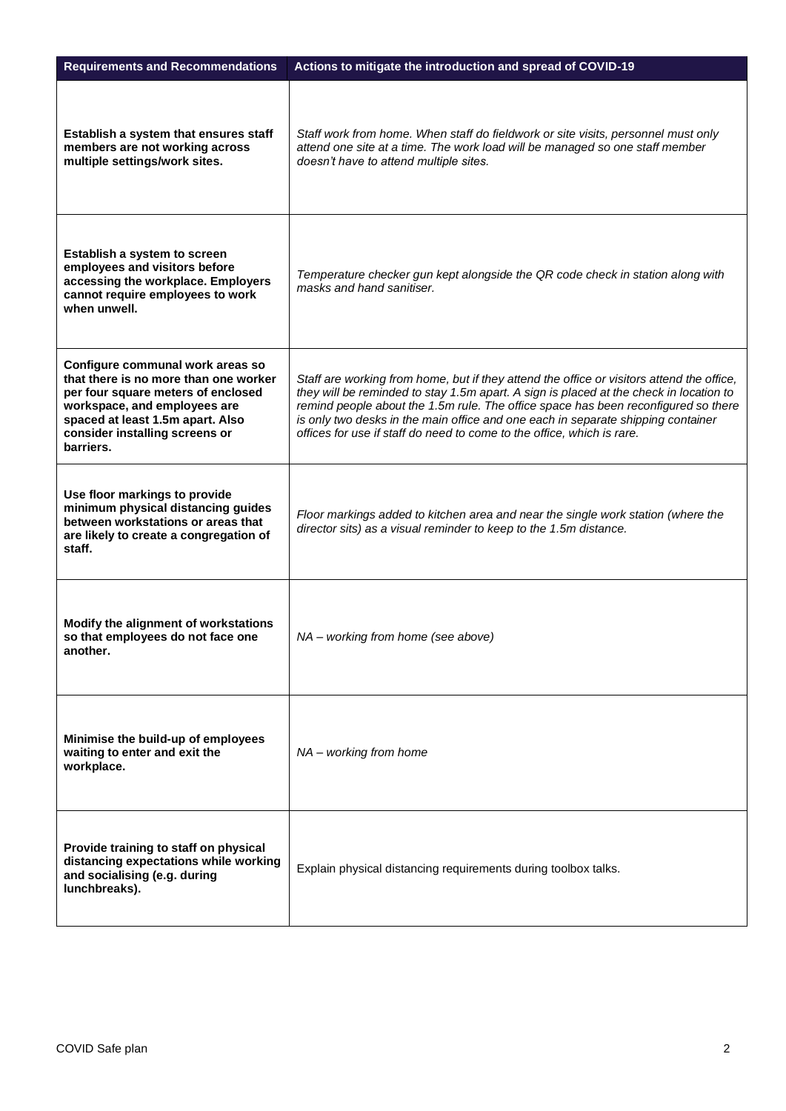| <b>Requirements and Recommendations</b>                                                                                                                                                                                            | Actions to mitigate the introduction and spread of COVID-19                                                                                                                                                                                                                                                                                                                                                                             |
|------------------------------------------------------------------------------------------------------------------------------------------------------------------------------------------------------------------------------------|-----------------------------------------------------------------------------------------------------------------------------------------------------------------------------------------------------------------------------------------------------------------------------------------------------------------------------------------------------------------------------------------------------------------------------------------|
| Establish a system that ensures staff<br>members are not working across<br>multiple settings/work sites.                                                                                                                           | Staff work from home. When staff do fieldwork or site visits, personnel must only<br>attend one site at a time. The work load will be managed so one staff member<br>doesn't have to attend multiple sites.                                                                                                                                                                                                                             |
| Establish a system to screen<br>employees and visitors before<br>accessing the workplace. Employers<br>cannot require employees to work<br>when unwell.                                                                            | Temperature checker gun kept alongside the QR code check in station along with<br>masks and hand sanitiser.                                                                                                                                                                                                                                                                                                                             |
| Configure communal work areas so<br>that there is no more than one worker<br>per four square meters of enclosed<br>workspace, and employees are<br>spaced at least 1.5m apart. Also<br>consider installing screens or<br>barriers. | Staff are working from home, but if they attend the office or visitors attend the office,<br>they will be reminded to stay 1.5m apart. A sign is placed at the check in location to<br>remind people about the 1.5m rule. The office space has been reconfigured so there<br>is only two desks in the main office and one each in separate shipping container<br>offices for use if staff do need to come to the office, which is rare. |
| Use floor markings to provide<br>minimum physical distancing guides<br>between workstations or areas that<br>are likely to create a congregation of<br>staff.                                                                      | Floor markings added to kitchen area and near the single work station (where the<br>director sits) as a visual reminder to keep to the 1.5m distance.                                                                                                                                                                                                                                                                                   |
| Modify the alignment of workstations<br>so that employees do not face one<br>another.                                                                                                                                              | NA - working from home (see above)                                                                                                                                                                                                                                                                                                                                                                                                      |
| Minimise the build-up of employees<br>waiting to enter and exit the<br>workplace.                                                                                                                                                  | NA - working from home                                                                                                                                                                                                                                                                                                                                                                                                                  |
| Provide training to staff on physical<br>distancing expectations while working<br>and socialising (e.g. during<br>lunchbreaks).                                                                                                    | Explain physical distancing requirements during toolbox talks.                                                                                                                                                                                                                                                                                                                                                                          |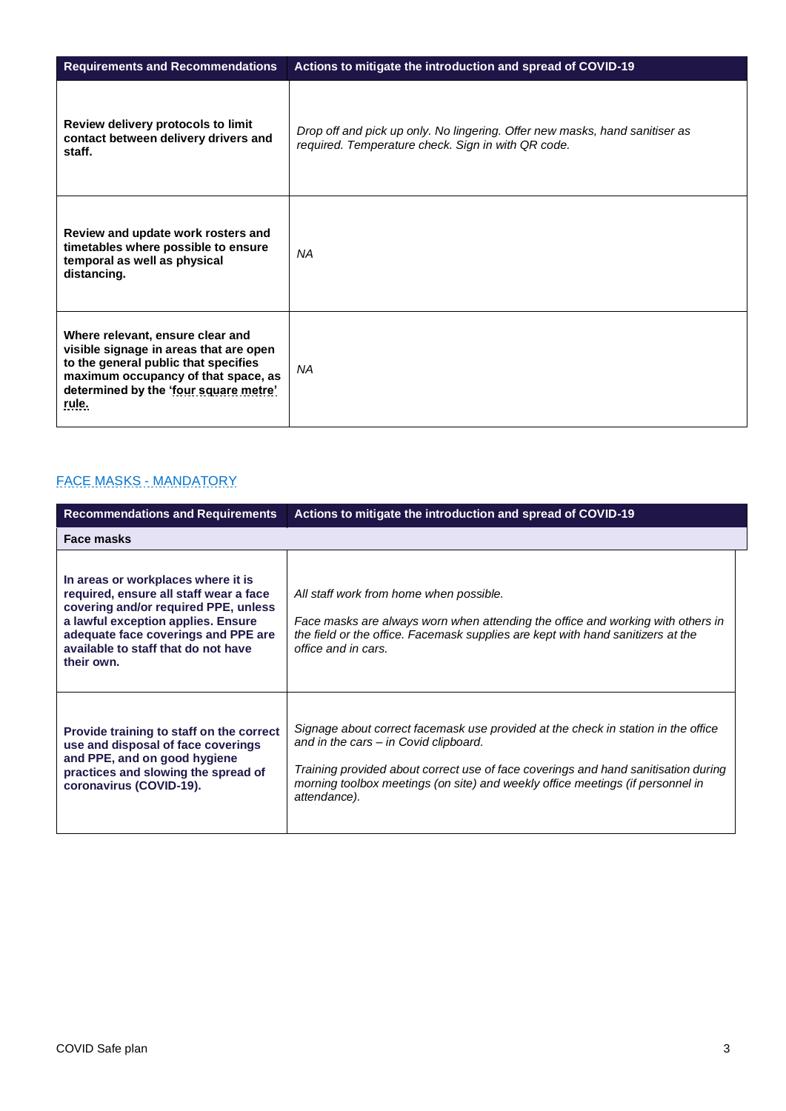| <b>Requirements and Recommendations</b>                                                                                                                                                                     | Actions to mitigate the introduction and spread of COVID-19                                                                       |
|-------------------------------------------------------------------------------------------------------------------------------------------------------------------------------------------------------------|-----------------------------------------------------------------------------------------------------------------------------------|
| Review delivery protocols to limit<br>contact between delivery drivers and<br>staff.                                                                                                                        | Drop off and pick up only. No lingering. Offer new masks, hand sanitiser as<br>required. Temperature check. Sign in with QR code. |
| Review and update work rosters and<br>timetables where possible to ensure<br>temporal as well as physical<br>distancing.                                                                                    | <b>NA</b>                                                                                                                         |
| Where relevant, ensure clear and<br>visible signage in areas that are open<br>to the general public that specifies<br>maximum occupancy of that space, as<br>determined by the 'four square metre'<br>rule. | NA                                                                                                                                |

### FACE MASKS - MANDATORY

| <b>Recommendations and Requirements</b>                                                                                                                                                                                                                | Actions to mitigate the introduction and spread of COVID-19                                                                                                                                                                                                                                                        |
|--------------------------------------------------------------------------------------------------------------------------------------------------------------------------------------------------------------------------------------------------------|--------------------------------------------------------------------------------------------------------------------------------------------------------------------------------------------------------------------------------------------------------------------------------------------------------------------|
| Face masks                                                                                                                                                                                                                                             |                                                                                                                                                                                                                                                                                                                    |
| In areas or workplaces where it is<br>required, ensure all staff wear a face<br>covering and/or required PPE, unless<br>a lawful exception applies. Ensure<br>adequate face coverings and PPE are<br>available to staff that do not have<br>their own. | All staff work from home when possible.<br>Face masks are always worn when attending the office and working with others in<br>the field or the office. Facemask supplies are kept with hand sanitizers at the<br>office and in cars.                                                                               |
| Provide training to staff on the correct<br>use and disposal of face coverings<br>and PPE, and on good hygiene<br>practices and slowing the spread of<br>coronavirus (COVID-19).                                                                       | Signage about correct facemask use provided at the check in station in the office<br>and in the cars – in Covid clipboard.<br>Training provided about correct use of face coverings and hand sanitisation during<br>morning toolbox meetings (on site) and weekly office meetings (if personnel in<br>attendance). |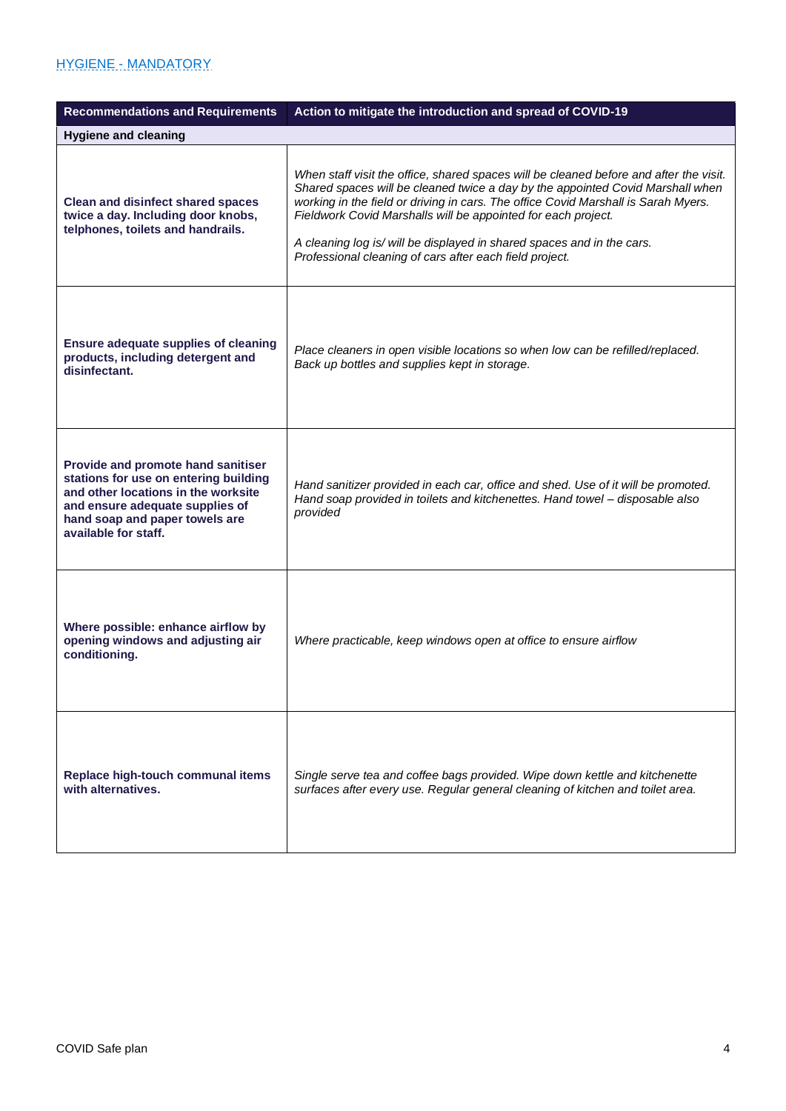#### HYGIENE - MANDATORY

| <b>Recommendations and Requirements</b>                                                                                                                                                                         | Action to mitigate the introduction and spread of COVID-19                                                                                                                                                                                                                                                                                                                                                                                                           |
|-----------------------------------------------------------------------------------------------------------------------------------------------------------------------------------------------------------------|----------------------------------------------------------------------------------------------------------------------------------------------------------------------------------------------------------------------------------------------------------------------------------------------------------------------------------------------------------------------------------------------------------------------------------------------------------------------|
| <b>Hygiene and cleaning</b>                                                                                                                                                                                     |                                                                                                                                                                                                                                                                                                                                                                                                                                                                      |
| <b>Clean and disinfect shared spaces</b><br>twice a day. Including door knobs,<br>telphones, toilets and handrails.                                                                                             | When staff visit the office, shared spaces will be cleaned before and after the visit.<br>Shared spaces will be cleaned twice a day by the appointed Covid Marshall when<br>working in the field or driving in cars. The office Covid Marshall is Sarah Myers.<br>Fieldwork Covid Marshalls will be appointed for each project.<br>A cleaning log is/ will be displayed in shared spaces and in the cars.<br>Professional cleaning of cars after each field project. |
| <b>Ensure adequate supplies of cleaning</b><br>products, including detergent and<br>disinfectant.                                                                                                               | Place cleaners in open visible locations so when low can be refilled/replaced.<br>Back up bottles and supplies kept in storage.                                                                                                                                                                                                                                                                                                                                      |
| Provide and promote hand sanitiser<br>stations for use on entering building<br>and other locations in the worksite<br>and ensure adequate supplies of<br>hand soap and paper towels are<br>available for staff. | Hand sanitizer provided in each car, office and shed. Use of it will be promoted.<br>Hand soap provided in toilets and kitchenettes. Hand towel - disposable also<br>provided                                                                                                                                                                                                                                                                                        |
| Where possible: enhance airflow by<br>opening windows and adjusting air<br>conditioning.                                                                                                                        | Where practicable, keep windows open at office to ensure airflow                                                                                                                                                                                                                                                                                                                                                                                                     |
| Replace high-touch communal items<br>with alternatives.                                                                                                                                                         | Single serve tea and coffee bags provided. Wipe down kettle and kitchenette<br>surfaces after every use. Regular general cleaning of kitchen and toilet area.                                                                                                                                                                                                                                                                                                        |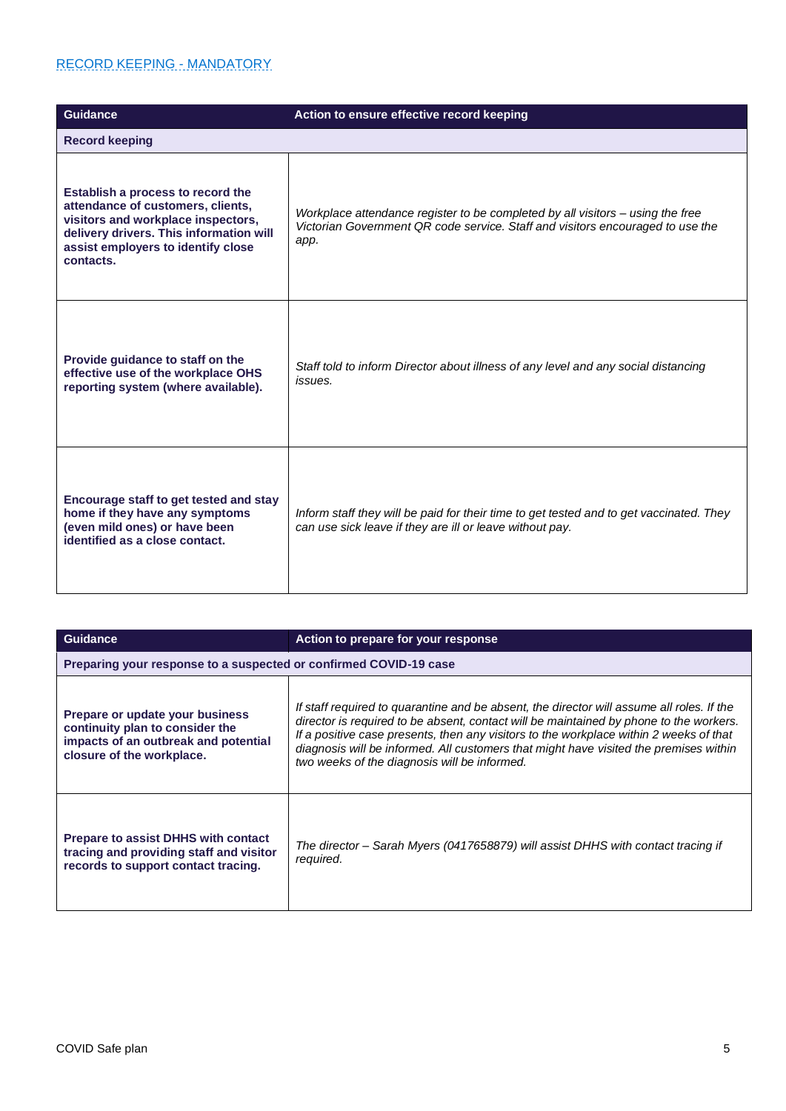#### RECORD KEEPING - MANDATORY

| <b>Guidance</b>                                                                                                                                                                                            | Action to ensure effective record keeping                                                                                                                                |
|------------------------------------------------------------------------------------------------------------------------------------------------------------------------------------------------------------|--------------------------------------------------------------------------------------------------------------------------------------------------------------------------|
| <b>Record keeping</b>                                                                                                                                                                                      |                                                                                                                                                                          |
| Establish a process to record the<br>attendance of customers, clients,<br>visitors and workplace inspectors,<br>delivery drivers. This information will<br>assist employers to identify close<br>contacts. | Workplace attendance register to be completed by all visitors – using the free<br>Victorian Government QR code service. Staff and visitors encouraged to use the<br>app. |
| Provide quidance to staff on the<br>effective use of the workplace OHS<br>reporting system (where available).                                                                                              | Staff told to inform Director about illness of any level and any social distancing<br>issues.                                                                            |
| Encourage staff to get tested and stay<br>home if they have any symptoms<br>(even mild ones) or have been<br>identified as a close contact.                                                                | Inform staff they will be paid for their time to get tested and to get vaccinated. They<br>can use sick leave if they are ill or leave without pay.                      |

| Guidance                                                                                                                                | Action to prepare for your response                                                                                                                                                                                                                                                                                                                                                                                    |
|-----------------------------------------------------------------------------------------------------------------------------------------|------------------------------------------------------------------------------------------------------------------------------------------------------------------------------------------------------------------------------------------------------------------------------------------------------------------------------------------------------------------------------------------------------------------------|
| Preparing your response to a suspected or confirmed COVID-19 case                                                                       |                                                                                                                                                                                                                                                                                                                                                                                                                        |
| Prepare or update your business<br>continuity plan to consider the<br>impacts of an outbreak and potential<br>closure of the workplace. | If staff required to quarantine and be absent, the director will assume all roles. If the<br>director is required to be absent, contact will be maintained by phone to the workers.<br>If a positive case presents, then any visitors to the workplace within 2 weeks of that<br>diagnosis will be informed. All customers that might have visited the premises within<br>two weeks of the diagnosis will be informed. |
| <b>Prepare to assist DHHS with contact</b><br>tracing and providing staff and visitor<br>records to support contact tracing.            | The director – Sarah Myers (0417658879) will assist DHHS with contact tracing if<br>required.                                                                                                                                                                                                                                                                                                                          |